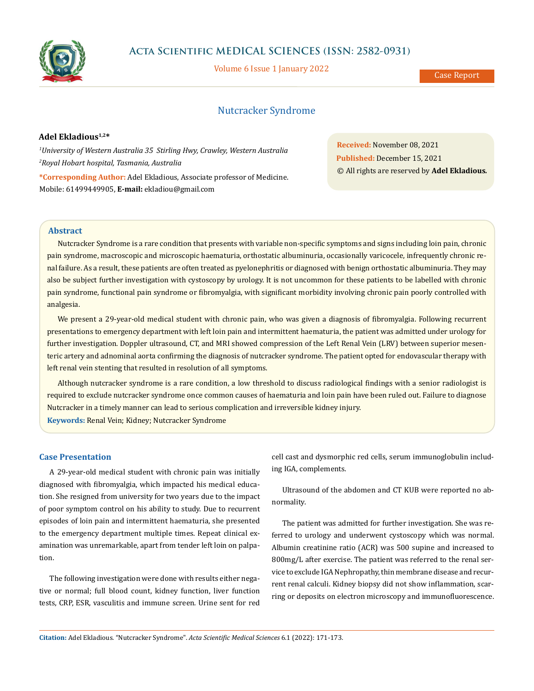

# **Acta Scientific MEDICAL SCIENCES (ISSN: 2582-0931)**

Volume 6 Issue 1 January 2022

Case Report

# Nutcracker Syndrome

### **Adel Ekladious1,2\***

*1 University of Western Australia 35 Stirling Hwy, Crawley, Western Australia 2 Royal Hobart hospital, Tasmania, Australia* **\*Corresponding Author:** Adel Ekladious, Associate professor of Medicine. Mobile: 61499449905, **E-mail:** [ekladiou@gmail.com](mailto:ekladiou%40gmail.com?subject=)

**Received:** November 08, 2021 **Published:** December 15, 2021 © All rights are reserved by **Adel Ekladious***.*

# **Abstract**

Nutcracker Syndrome is a rare condition that presents with variable non-specific symptoms and signs including loin pain, chronic pain syndrome, macroscopic and microscopic haematuria, orthostatic albuminuria, occasionally varicocele, infrequently chronic renal failure. As a result, these patients are often treated as pyelonephritis or diagnosed with benign orthostatic albuminuria. They may also be subject further investigation with cystoscopy by urology. It is not uncommon for these patients to be labelled with chronic pain syndrome, functional pain syndrome or fibromyalgia, with significant morbidity involving chronic pain poorly controlled with analgesia.

We present a 29-year-old medical student with chronic pain, who was given a diagnosis of fibromyalgia. Following recurrent presentations to emergency department with left loin pain and intermittent haematuria, the patient was admitted under urology for further investigation. Doppler ultrasound, CT, and MRI showed compression of the Left Renal Vein (LRV) between superior mesenteric artery and adnominal aorta confirming the diagnosis of nutcracker syndrome. The patient opted for endovascular therapy with left renal vein stenting that resulted in resolution of all symptoms.

Although nutcracker syndrome is a rare condition, a low threshold to discuss radiological findings with a senior radiologist is required to exclude nutcracker syndrome once common causes of haematuria and loin pain have been ruled out. Failure to diagnose Nutcracker in a timely manner can lead to serious complication and irreversible kidney injury.

**Keywords:** Renal Vein; Kidney; Nutcracker Syndrome

### **Case Presentation**

A 29-year-old medical student with chronic pain was initially diagnosed with fibromyalgia, which impacted his medical education. She resigned from university for two years due to the impact of poor symptom control on his ability to study. Due to recurrent episodes of loin pain and intermittent haematuria, she presented to the emergency department multiple times. Repeat clinical examination was unremarkable, apart from tender left loin on palpation.

The following investigation were done with results either negative or normal; full blood count, kidney function, liver function tests, CRP, ESR, vasculitis and immune screen. Urine sent for red cell cast and dysmorphic red cells, serum immunoglobulin including IGA, complements.

Ultrasound of the abdomen and CT KUB were reported no abnormality.

The patient was admitted for further investigation. She was referred to urology and underwent cystoscopy which was normal. Albumin creatinine ratio (ACR) was 500 supine and increased to 800mg/L after exercise. The patient was referred to the renal service to exclude IGA Nephropathy, thin membrane disease and recurrent renal calculi. Kidney biopsy did not show inflammation, scarring or deposits on electron microscopy and immunofluorescence.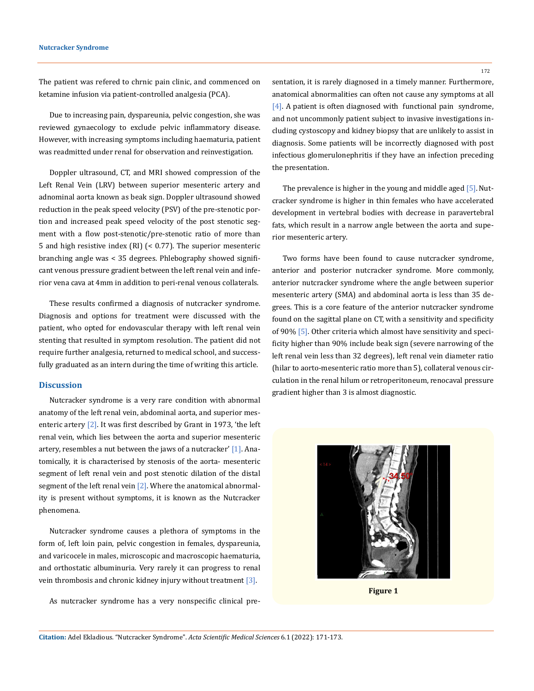The patient was refered to chrnic pain clinic, and commenced on ketamine infusion via patient-controlled analgesia (PCA).

Due to increasing pain, dyspareunia, pelvic congestion, she was reviewed gynaecology to exclude pelvic inflammatory disease. However, with increasing symptoms including haematuria, patient was readmitted under renal for observation and reinvestigation.

Doppler ultrasound, CT, and MRI showed compression of the Left Renal Vein (LRV) between superior mesenteric artery and adnominal aorta known as beak sign. Doppler ultrasound showed reduction in the peak speed velocity (PSV) of the pre-stenotic portion and increased peak speed velocity of the post stenotic segment with a flow post-stenotic/pre-stenotic ratio of more than 5 and high resistive index (RI) (< 0.77). The superior mesenteric branching angle was < 35 degrees. Phlebography showed significant venous pressure gradient between the left renal vein and inferior vena cava at 4mm in addition to peri-renal venous collaterals.

These results confirmed a diagnosis of nutcracker syndrome. Diagnosis and options for treatment were discussed with the patient, who opted for endovascular therapy with left renal vein stenting that resulted in symptom resolution. The patient did not require further analgesia, returned to medical school, and successfully graduated as an intern during the time of writing this article.

#### **Discussion**

Nutcracker syndrome is a very rare condition with abnormal anatomy of the left renal vein, abdominal aorta, and superior mesenteric artery  $[2]$ . It was first described by Grant in 1973, 'the left renal vein, which lies between the aorta and superior mesenteric artery, resembles a nut between the jaws of a nutcracker'  $[1]$ . Anatomically, it is characterised by stenosis of the aorta- mesenteric segment of left renal vein and post stenotic dilation of the distal segment of the left renal vein  $[2]$ . Where the anatomical abnormality is present without symptoms, it is known as the Nutcracker phenomena.

Nutcracker syndrome causes a plethora of symptoms in the form of, left loin pain, pelvic congestion in females, dyspareunia, and varicocele in males, microscopic and macroscopic haematuria, and orthostatic albuminuria. Very rarely it can progress to renal vein thrombosis and chronic kidney injury without treatment [3].

As nutcracker syndrome has a very nonspecific clinical pre-

sentation, it is rarely diagnosed in a timely manner. Furthermore, anatomical abnormalities can often not cause any symptoms at all [4]. A patient is often diagnosed with functional pain syndrome, and not uncommonly patient subject to invasive investigations including cystoscopy and kidney biopsy that are unlikely to assist in diagnosis. Some patients will be incorrectly diagnosed with post infectious glomerulonephritis if they have an infection preceding the presentation.

The prevalence is higher in the young and middle aged [5]. Nutcracker syndrome is higher in thin females who have accelerated development in vertebral bodies with decrease in paravertebral fats, which result in a narrow angle between the aorta and superior mesenteric artery.

Two forms have been found to cause nutcracker syndrome, anterior and posterior nutcracker syndrome. More commonly, anterior nutcracker syndrome where the angle between superior mesenteric artery (SMA) and abdominal aorta is less than 35 degrees. This is a core feature of the anterior nutcracker syndrome found on the sagittal plane on CT, with a sensitivity and specificity of 90% [5]. Other criteria which almost have sensitivity and specificity higher than 90% include beak sign (severe narrowing of the left renal vein less than 32 degrees), left renal vein diameter ratio (hilar to aorto-mesenteric ratio more than 5), collateral venous circulation in the renal hilum or retroperitoneum, renocaval pressure gradient higher than 3 is almost diagnostic.



**Figure 1**

172